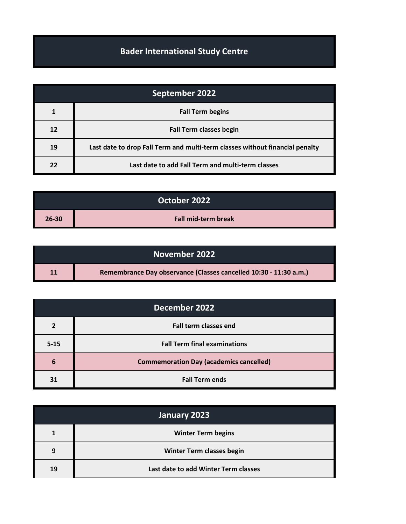## **Bader International Study Centre**

| September 2022 |                                                                              |
|----------------|------------------------------------------------------------------------------|
| $\mathbf{1}$   | <b>Fall Term begins</b>                                                      |
| 12             | <b>Fall Term classes begin</b>                                               |
| 19             | Last date to drop Fall Term and multi-term classes without financial penalty |
| 22             | Last date to add Fall Term and multi-term classes                            |

| October 2022 |                            |
|--------------|----------------------------|
| $26 - 30$    | <b>Fall mid-term break</b> |

| November 2022 |                                                                   |
|---------------|-------------------------------------------------------------------|
| 11            | Remembrance Day observance (Classes cancelled 10:30 - 11:30 a.m.) |

| December 2022 |                                                |
|---------------|------------------------------------------------|
|               | <b>Fall term classes end</b>                   |
| $5 - 15$      | <b>Fall Term final examinations</b>            |
| 6             | <b>Commemoration Day (academics cancelled)</b> |
| 31            | <b>Fall Term ends</b>                          |

| January 2023 |                                      |
|--------------|--------------------------------------|
|              | <b>Winter Term begins</b>            |
| 9            | Winter Term classes begin            |
| 19           | Last date to add Winter Term classes |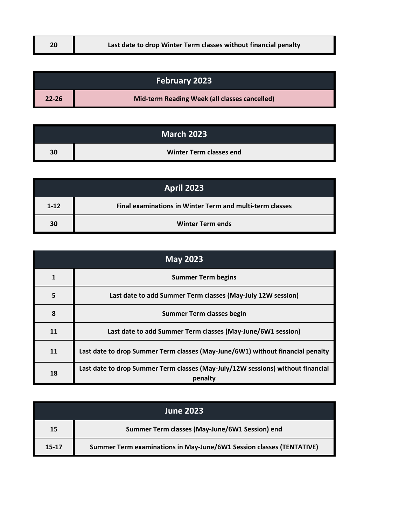| Last date to drop Winter Term classes without financial penalty<br>20 |  |
|-----------------------------------------------------------------------|--|
|-----------------------------------------------------------------------|--|

| <b>February 2023</b> |                                               |
|----------------------|-----------------------------------------------|
| $22 - 26$            | Mid-term Reading Week (all classes cancelled) |

| <b>March 2023</b> |                         |
|-------------------|-------------------------|
| 30                | Winter Term classes end |

| <b>April 2023</b> |                                                          |
|-------------------|----------------------------------------------------------|
| $1 - 12$          | Final examinations in Winter Term and multi-term classes |
| 30                | <b>Winter Term ends</b>                                  |

| <b>May 2023</b> |                                                                                            |
|-----------------|--------------------------------------------------------------------------------------------|
|                 | <b>Summer Term begins</b>                                                                  |
| 5               | Last date to add Summer Term classes (May-July 12W session)                                |
| 8               | Summer Term classes begin                                                                  |
| 11              | Last date to add Summer Term classes (May-June/6W1 session)                                |
| 11              | Last date to drop Summer Term classes (May-June/6W1) without financial penalty             |
| 18              | Last date to drop Summer Term classes (May-July/12W sessions) without financial<br>penalty |

| <b>June 2023</b> |                                                                      |
|------------------|----------------------------------------------------------------------|
| 15               | Summer Term classes (May-June/6W1 Session) end                       |
| 15-17            | Summer Term examinations in May-June/6W1 Session classes (TENTATIVE) |